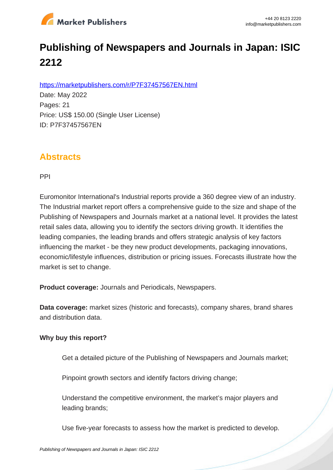

# **Publishing of Newspapers and Journals in Japan: ISIC 2212**

https://marketpublishers.com/r/P7F37457567EN.html

Date: May 2022 Pages: 21 Price: US\$ 150.00 (Single User License) ID: P7F37457567EN

## **Abstracts**

PPI

Euromonitor International's Industrial reports provide a 360 degree view of an industry. The Industrial market report offers a comprehensive guide to the size and shape of the Publishing of Newspapers and Journals market at a national level. It provides the latest retail sales data, allowing you to identify the sectors driving growth. It identifies the leading companies, the leading brands and offers strategic analysis of key factors influencing the market - be they new product developments, packaging innovations, economic/lifestyle influences, distribution or pricing issues. Forecasts illustrate how the market is set to change.

**Product coverage:** Journals and Periodicals, Newspapers.

**Data coverage:** market sizes (historic and forecasts), company shares, brand shares and distribution data.

#### **Why buy this report?**

Get a detailed picture of the Publishing of Newspapers and Journals market;

Pinpoint growth sectors and identify factors driving change;

Understand the competitive environment, the market's major players and leading brands;

Use five-year forecasts to assess how the market is predicted to develop.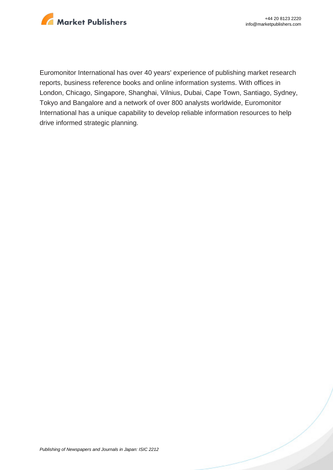

Euromonitor International has over 40 years' experience of publishing market research reports, business reference books and online information systems. With offices in London, Chicago, Singapore, Shanghai, Vilnius, Dubai, Cape Town, Santiago, Sydney, Tokyo and Bangalore and a network of over 800 analysts worldwide, Euromonitor International has a unique capability to develop reliable information resources to help drive informed strategic planning.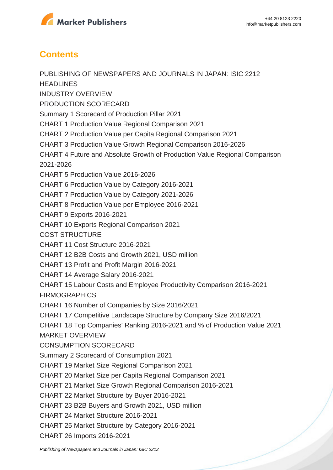

### **Contents**

PUBLISHING OF NEWSPAPERS AND JOURNALS IN JAPAN: ISIC 2212 **HEADLINES** INDUSTRY OVERVIEW PRODUCTION SCORECARD Summary 1 Scorecard of Production Pillar 2021 CHART 1 Production Value Regional Comparison 2021 CHART 2 Production Value per Capita Regional Comparison 2021 CHART 3 Production Value Growth Regional Comparison 2016-2026 CHART 4 Future and Absolute Growth of Production Value Regional Comparison 2021-2026 CHART 5 Production Value 2016-2026 CHART 6 Production Value by Category 2016-2021 CHART 7 Production Value by Category 2021-2026 CHART 8 Production Value per Employee 2016-2021 CHART 9 Exports 2016-2021 CHART 10 Exports Regional Comparison 2021 COST STRUCTURE CHART 11 Cost Structure 2016-2021 CHART 12 B2B Costs and Growth 2021, USD million CHART 13 Profit and Profit Margin 2016-2021 CHART 14 Average Salary 2016-2021 CHART 15 Labour Costs and Employee Productivity Comparison 2016-2021 **FIRMOGRAPHICS** CHART 16 Number of Companies by Size 2016/2021 CHART 17 Competitive Landscape Structure by Company Size 2016/2021 CHART 18 Top Companies' Ranking 2016-2021 and % of Production Value 2021 MARKET OVERVIEW CONSUMPTION SCORECARD Summary 2 Scorecard of Consumption 2021 CHART 19 Market Size Regional Comparison 2021 CHART 20 Market Size per Capita Regional Comparison 2021 CHART 21 Market Size Growth Regional Comparison 2016-2021 CHART 22 Market Structure by Buyer 2016-2021 CHART 23 B2B Buyers and Growth 2021, USD million CHART 24 Market Structure 2016-2021 CHART 25 Market Structure by Category 2016-2021 CHART 26 Imports 2016-2021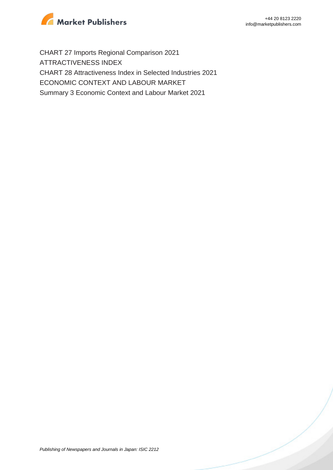

CHART 27 Imports Regional Comparison 2021 ATTRACTIVENESS INDEX CHART 28 Attractiveness Index in Selected Industries 2021 ECONOMIC CONTEXT AND LABOUR MARKET Summary 3 Economic Context and Labour Market 2021